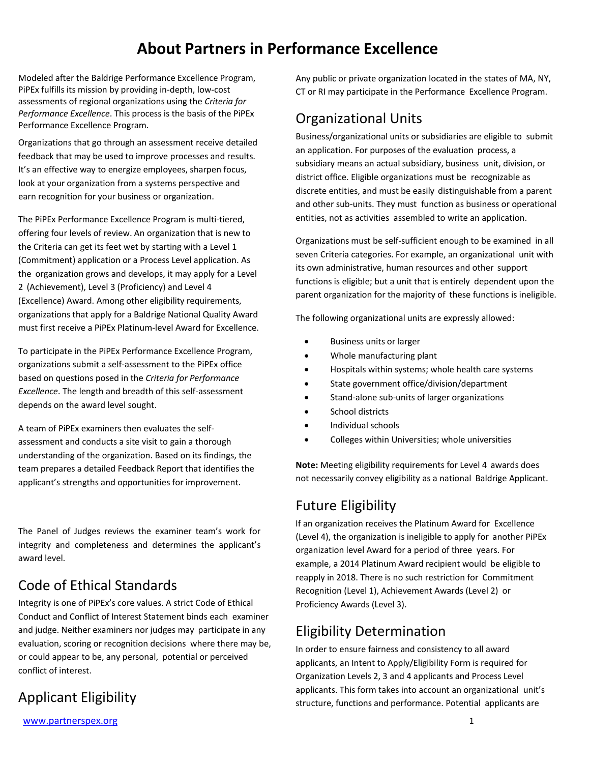## **About Partners in Performance Excellence**

Modeled after the Baldrige Performance Excellence Program, PiPEx fulfills its mission by providing in-depth, low-cost assessments of regional organizations using the *Criteria for Performance Excellence*. This process is the basis of the PiPEx Performance Excellence Program.

Organizations that go through an assessment receive detailed feedback that may be used to improve processes and results. It's an effective way to energize employees, sharpen focus, look at your organization from a systems perspective and earn recognition for your business or organization.

The PiPEx Performance Excellence Program is multi-tiered, offering four levels of review. An organization that is new to the Criteria can get its feet wet by starting with a Level 1 (Commitment) application or a Process Level application. As the organization grows and develops, it may apply for a Level 2 (Achievement), Level 3 (Proficiency) and Level 4 (Excellence) Award. Among other eligibility requirements, organizations that apply for a Baldrige National Quality Award must first receive a PiPEx Platinum-level Award for Excellence.

To participate in the PiPEx Performance Excellence Program, organizations submit a self-assessment to the PiPEx office based on questions posed in the *Criteria for Performance Excellence*. The length and breadth of this self-assessment depends on the award level sought.

A team of PiPEx examiners then evaluates the selfassessment and conducts a site visit to gain a thorough understanding of the organization. Based on its findings, the team prepares a detailed Feedback Report that identifies the applicant's strengths and opportunities for improvement.

The Panel of Judges reviews the examiner team's work for integrity and completeness and determines the applicant's award level.

## Code of Ethical Standards

Integrity is one of PiPEx's core values. A strict Code of Ethical Conduct and Conflict of Interest Statement binds each examiner and judge. Neither examiners nor judges may participate in any evaluation, scoring or recognition decisions where there may be, or could appear to be, any personal, potential or perceived conflict of interest.

### Applicant Eligibility

Any public or private organization located in the states of MA, NY, CT or RI may participate in the Performance Excellence Program.

### Organizational Units

Business/organizational units or subsidiaries are eligible to submit an application. For purposes of the evaluation process, a subsidiary means an actual subsidiary, business unit, division, or district office. Eligible organizations must be recognizable as discrete entities, and must be easily distinguishable from a parent and other sub-units. They must function as business or operational entities, not as activities assembled to write an application.

Organizations must be self-sufficient enough to be examined in all seven Criteria categories. For example, an organizational unit with its own administrative, human resources and other support functions is eligible; but a unit that is entirely dependent upon the parent organization for the majority of these functions is ineligible.

The following organizational units are expressly allowed:

- Business units or larger
- Whole manufacturing plant
- Hospitals within systems; whole health care systems
- State government office/division/department
- Stand-alone sub-units of larger organizations
- School districts
- Individual schools
- Colleges within Universities; whole universities

**Note:** Meeting eligibility requirements for Level 4 awards does not necessarily convey eligibility as a national Baldrige Applicant.

### Future Eligibility

If an organization receives the Platinum Award for Excellence (Level 4), the organization is ineligible to apply for another PiPEx organization level Award for a period of three years. For example, a 2014 Platinum Award recipient would be eligible to reapply in 2018. There is no such restriction for Commitment Recognition (Level 1), Achievement Awards (Level 2) or Proficiency Awards (Level 3).

## Eligibility Determination

In order to ensure fairness and consistency to all award applicants, an Intent to Apply/Eligibility Form is required for Organization Levels 2, 3 and 4 applicants and Process Level applicants. This form takes into account an organizational unit's structure, functions and performance. Potential applicants are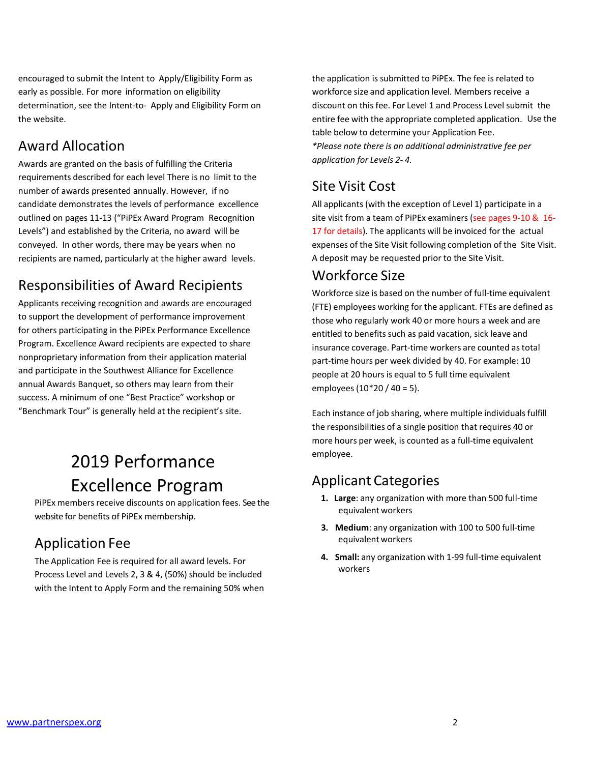encouraged to submit the Intent to Apply/Eligibility Form as early as possible. For more information on eligibility determination, see the Intent-to- Apply and Eligibility Form on the website.

### Award Allocation

Awards are granted on the basis of fulfilling the Criteria requirements described for each level There is no limit to the number of awards presented annually. However, if no candidate demonstrates the levels of performance excellence outlined on pages 11-13 ("PiPEx Award Program Recognition Levels") and established by the Criteria, no award will be conveyed. In other words, there may be years when no recipients are named, particularly at the higher award levels.

## Responsibilities of Award Recipients

Applicants receiving recognition and awards are encouraged to support the development of performance improvement for others participating in the PiPEx Performance Excellence Program. Excellence Award recipients are expected to share nonproprietary information from their application material and participate in the Southwest Alliance for Excellence annual Awards Banquet, so others may learn from their success. A minimum of one "Best Practice" workshop or "Benchmark Tour" is generally held at the recipient's site.

# 2019 Performance Excellence Program

PiPEx members receive discounts on application fees. See the website for benefits of PiPEx membership.

## Application Fee

The Application Fee is required for all award levels. For Process Level and Levels 2, 3 & 4, (50%) should be included with the Intent to Apply Form and the remaining 50% when

the application is submitted to PiPEx. The fee is related to workforce size and application level. Members receive a discount on this fee. For Level 1 and Process Level submit the entire fee with the appropriate completed application. Use the table below to determine your Application Fee. *\*Please note there is an additional administrative fee per application for Levels 2- 4.*

## Site Visit Cost

All applicants (with the exception of Level 1) participate in a site visit from a team of PiPEx examiners (see pages 9-10 & 16- 17 for details). The applicants will be invoiced for the actual expenses of the Site Visit following completion of the Site Visit. A deposit may be requested prior to the Site Visit.

### Workforce Size

Workforce size is based on the number of full-time equivalent (FTE) employees working for the applicant. FTEs are defined as those who regularly work 40 or more hours a week and are entitled to benefits such as paid vacation, sick leave and insurance coverage. Part-time workers are counted astotal part-time hours per week divided by 40. For example: 10 people at 20 hours is equal to 5 full time equivalent employees (10\*20 / 40 = 5).

Each instance of job sharing, where multiple individuals fulfill the responsibilities of a single position that requires 40 or more hours per week, is counted as a full-time equivalent employee.

## Applicant Categories

- **1. Large**: any organization with more than 500 full-time equivalent workers
- **3. Medium**: any organization with 100 to 500 full-time equivalent workers
- **4. Small:** any organization with 1-99 full-time equivalent workers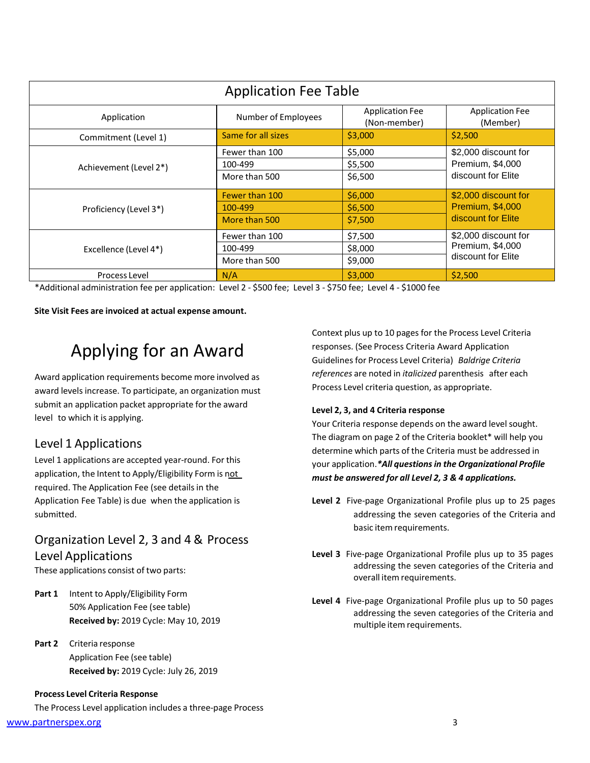| <b>Application Fee Table</b> |                                            |                                        |                                                                       |  |  |
|------------------------------|--------------------------------------------|----------------------------------------|-----------------------------------------------------------------------|--|--|
| Application                  | Number of Employees                        | <b>Application Fee</b><br>(Non-member) | <b>Application Fee</b><br>(Member)                                    |  |  |
| Commitment (Level 1)         | Same for all sizes                         | \$3,000                                | \$2,500                                                               |  |  |
| Achievement (Level 2*)       | Fewer than 100<br>100-499<br>More than 500 | \$5,000<br>\$5,500<br>\$6,500          | \$2,000 discount for<br>Premium, \$4,000<br>discount for Elite        |  |  |
| Proficiency (Level 3*)       | Fewer than 100<br>100-499<br>More than 500 | \$6,000<br>\$6,500<br>\$7,500          | \$2,000 discount for<br><b>Premium, \$4,000</b><br>discount for Elite |  |  |
| Excellence (Level 4*)        | Fewer than 100<br>100-499<br>More than 500 | \$7,500<br>\$8,000<br>\$9,000          | \$2,000 discount for<br>Premium, \$4,000<br>discount for Elite        |  |  |
| N/A<br>Process Level         |                                            | \$3,000                                | \$2,500                                                               |  |  |

\*Additional administration fee per application: Level 2 - \$500 fee; Level 3 - \$750 fee; Level 4 - \$1000 fee

**Site Visit Fees are invoiced at actual expense amount.**

# Applying for an Award

Award application requirements become more involved as award levels increase. To participate, an organization must submit an application packet appropriate for the award level to which it is applying.

#### Level 1 Applications

Level 1 applications are accepted year-round. For this application, the Intent to Apply/Eligibility Form is not required. The Application Fee (see details in the Application Fee Table) is due when the application is submitted.

#### Organization Level 2, 3 and 4 & Process Level Applications

These applications consist of two parts:

- **Part 1** Intent to Apply/Eligibility Form 50% Application Fee (see table) **Received by:** 2019 Cycle: May 10, 2019
- **Part 2** Criteria response Application Fee (see table) **Received by:** 2019 Cycle: July 26, 2019

#### **Process Level Criteria Response**

The Process Level application includes a three-page Process

[www.partnerspex.org](http://www.partnerspex.org/) 3

Context plus up to 10 pages for the Process Level Criteria responses. (See Process Criteria Award Application Guidelines for Process Level Criteria) *Baldrige Criteria references* are noted in *italicized* parenthesis after each Process Level criteria question, as appropriate.

#### **Level 2, 3, and 4 Criteria response**

Your Criteria response depends on the award level sought. The diagram on page 2 of the Criteria booklet\* will help you determine which parts of the Criteria must be addressed in your application.*\*All questionsin the Organizational Profile must be answered for all Level 2, 3 & 4 applications.*

- **Level 2** Five-page Organizational Profile plus up to 25 pages addressing the seven categories of the Criteria and basic item requirements.
- **Level 3** Five-page Organizational Profile plus up to 35 pages addressing the seven categories of the Criteria and overall item requirements.
- **Level 4** Five-page Organizational Profile plus up to 50 pages addressing the seven categories of the Criteria and multiple item requirements.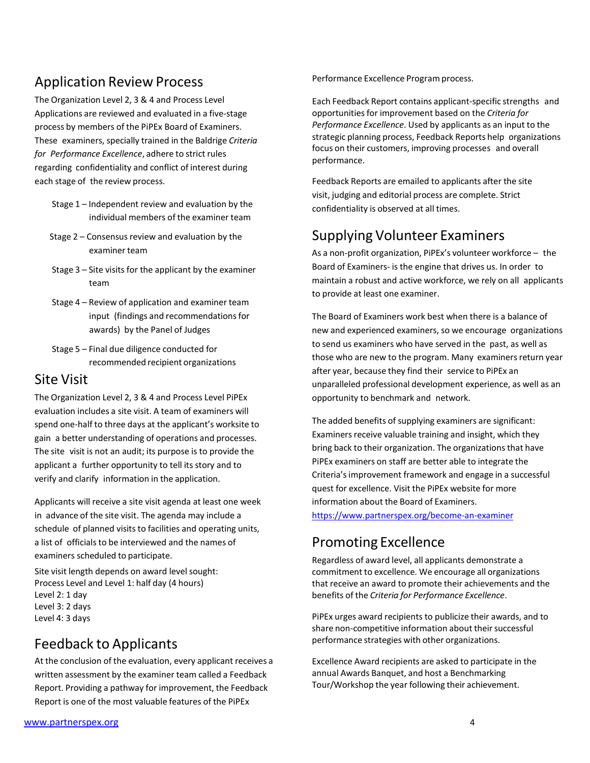### Application Review Process

The Organization Level 2, 3 & 4 and Process Level Applications are reviewed and evaluated in a five-stage process by members of the PiPEx Board of Examiners. These examiners, specially trained in the Baldrige *Criteria for Performance Excellence*, adhere to strict rules regarding confidentiality and conflict of interest during each stage of the review process.

- Stage 1 Independent review and evaluation by the individual members of the examiner team
- Stage  $2$  Consensus review and evaluation by the examiner team
- Stage 3 Site visits for the applicant by the examiner team
- Stage 4 Review of application and examiner team input (findings and recommendations for awards) by the Panel of Judges
- Stage 5 Final due diligence conducted for recommended recipient organizations

#### Site Visit

The Organization Level 2, 3 & 4 and Process Level PiPEx evaluation includes a site visit. A team of examiners will spend one-half to three days at the applicant's worksite to gain a better understanding of operations and processes. The site visit is not an audit; its purpose is to provide the applicant a further opportunity to tell its story and to verify and clarify information in the application.

Applicants will receive a site visit agenda at least one week in advance of the site visit. The agenda may include a schedule of planned visits to facilities and operating units, a list of officials to be interviewed and the names of examiners scheduled to participate.

Site visit length depends on award level sought: Process Level and Level 1: half day (4 hours) Level 2: 1 day Level 3: 2 days Level 4: 3 days

## Feedback to Applicants

At the conclusion of the evaluation, every applicant receives a written assessment by the examiner team called a Feedback Report. Providing a pathway for improvement, the Feedback Report is one of the most valuable features of the PiPEx

Performance Excellence Program process.

Each Feedback Report contains applicant-specific strengths and opportunitiesfor improvement based on the *Criteria for Performance Excellence*. Used by applicants as an input to the strategic planning process, Feedback Reports help organizations focus on their customers, improving processes and overall performance.

Feedback Reports are emailed to applicants after the site visit, judging and editorial process are complete. Strict confidentiality is observed at all times.

## Supplying Volunteer Examiners

As a non-profit organization, PiPEx's volunteer workforce – the Board of Examiners- is the engine that drives us. In order to maintain a robust and active workforce, we rely on all applicants to provide at least one examiner.

The Board of Examiners work best when there is a balance of new and experienced examiners, so we encourage organizations to send us examiners who have served in the past, as well as those who are new to the program. Many examiners return year after year, because they find their service to PiPEx an unparalleled professional development experience, as well as an opportunity to benchmark and network.

The added benefits of supplying examiners are significant: Examiners receive valuable training and insight, which they bring back to their organization. The organizationsthat have PiPEx examiners on staff are better able to integrate the Criteria'simprovement framework and engage in a successful quest for excellence. Visit the PiPEx website for more information about the Board of Examiners.

<https://www.partnerspex.org/become-an-examiner>

## Promoting Excellence

Regardless of award level, all applicants demonstrate a commitment to excellence. We encourage all organizations that receive an award to promote their achievements and the benefits of the *Criteria for Performance Excellence*.

PiPEx urges award recipients to publicize their awards, and to share non-competitive information about their successful performance strategies with other organizations.

Excellence Award recipients are asked to participate in the annual Awards Banquet, and host a Benchmarking Tour/Workshop the year following their achievement.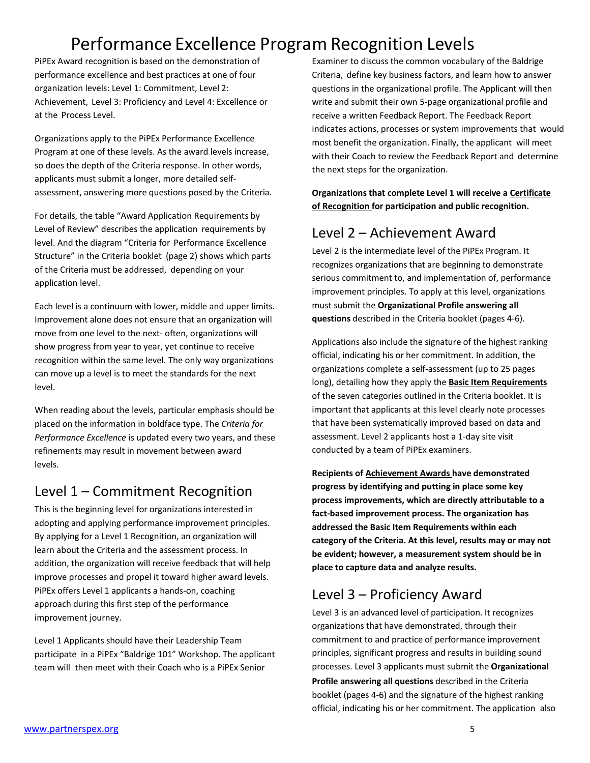# Performance Excellence Program Recognition Levels

PiPEx Award recognition is based on the demonstration of performance excellence and best practices at one of four organization levels: Level 1: Commitment, Level 2: Achievement, Level 3: Proficiency and Level 4: Excellence or at the Process Level.

Organizations apply to the PiPEx Performance Excellence Program at one of these levels. As the award levels increase, so does the depth of the Criteria response. In other words, applicants must submit a longer, more detailed selfassessment, answering more questions posed by the Criteria.

For details, the table "Award Application Requirements by Level of Review" describes the application requirements by level. And the diagram "Criteria for Performance Excellence Structure" in the Criteria booklet (page 2) shows which parts of the Criteria must be addressed, depending on your application level.

Each level is a continuum with lower, middle and upper limits. Improvement alone does not ensure that an organization will move from one level to the next- often, organizations will show progress from year to year, yet continue to receive recognition within the same level. The only way organizations can move up a level is to meet the standards for the next level.

When reading about the levels, particular emphasis should be placed on the information in boldface type. The *Criteria for Performance Excellence* is updated every two years, and these refinements may result in movement between award levels.

## Level 1 – Commitment Recognition

This is the beginning level for organizations interested in adopting and applying performance improvement principles. By applying for a Level 1 Recognition, an organization will learn about the Criteria and the assessment process. In addition, the organization will receive feedback that will help improve processes and propel it toward higher award levels. PiPEx offers Level 1 applicants a hands-on, coaching approach during this first step of the performance improvement journey.

Level 1 Applicants should have their Leadership Team participate in a PiPEx "Baldrige 101" Workshop. The applicant team will then meet with their Coach who is a PiPEx Senior

Examiner to discuss the common vocabulary of the Baldrige Criteria, define key business factors, and learn how to answer questions in the organizational profile. The Applicant will then write and submit their own 5-page organizational profile and receive a written Feedback Report. The Feedback Report indicates actions, processes or system improvements that would most benefit the organization. Finally, the applicant will meet with their Coach to review the Feedback Report and determine the next steps for the organization.

**Organizations that complete Level 1 will receive a Certificate of Recognition for participation and public recognition.**

## Level 2 – Achievement Award

Level 2 is the intermediate level of the PiPEx Program. It recognizes organizations that are beginning to demonstrate serious commitment to, and implementation of, performance improvement principles. To apply at this level, organizations must submit the **Organizational Profile answering all questions** described in the Criteria booklet (pages 4-6).

Applications also include the signature of the highest ranking official, indicating his or her commitment. In addition, the organizations complete a self-assessment (up to 25 pages long), detailing how they apply the **Basic Item Requirements** of the seven categories outlined in the Criteria booklet. It is important that applicants at this level clearly note processes that have been systematically improved based on data and assessment. Level 2 applicants host a 1-day site visit conducted by a team of PiPEx examiners.

**Recipients of Achievement Awards have demonstrated progress by identifying and putting in place some key process improvements, which are directly attributable to a fact-based improvement process. The organization has addressed the Basic Item Requirements within each category of the Criteria. At this level, results may or may not be evident; however, a measurement system should be in place to capture data and analyze results.**

## Level 3 – Proficiency Award

Level 3 is an advanced level of participation. It recognizes organizations that have demonstrated, through their commitment to and practice of performance improvement principles, significant progress and results in building sound processes. Level 3 applicants must submit the **Organizational Profile answering all questions** described in the Criteria booklet (pages 4-6) and the signature of the highest ranking official, indicating his or her commitment. The application also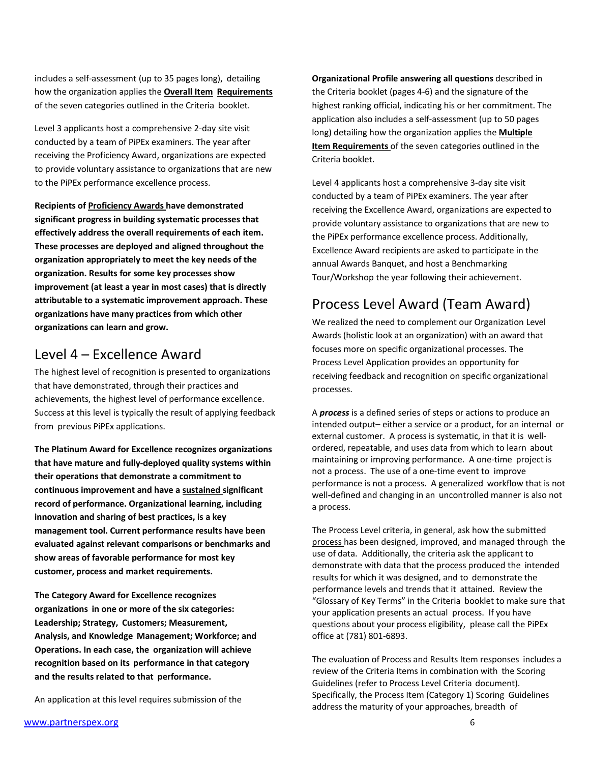includes a self-assessment (up to 35 pages long), detailing how the organization applies the **Overall Item Requirements**  of the seven categories outlined in the Criteria booklet.

Level 3 applicants host a comprehensive 2-day site visit conducted by a team of PiPEx examiners. The year after receiving the Proficiency Award, organizations are expected to provide voluntary assistance to organizations that are new to the PiPEx performance excellence process.

**Recipients of Proficiency Awards have demonstrated significant progress in building systematic processes that effectively address the overall requirements of each item. These processes are deployed and aligned throughout the organization appropriately to meet the key needs of the organization. Results for some key processes show improvement (at least a year in most cases) that is directly attributable to a systematic improvement approach. These organizations have many practices from which other organizations can learn and grow.**

#### Level 4 – Excellence Award

The highest level of recognition is presented to organizations that have demonstrated, through their practices and achievements, the highest level of performance excellence. Success at this level is typically the result of applying feedback from previous PiPEx applications.

**The Platinum Award for Excellence recognizes organizations that have mature and fully-deployed quality systems within their operations that demonstrate a commitment to continuous improvement and have a sustained significant record of performance. Organizational learning, including innovation and sharing of best practices, is a key management tool. Current performance results have been evaluated against relevant comparisons or benchmarks and show areas of favorable performance for most key customer, process and market requirements.**

**The Category Award for Excellence recognizes organizations in one or more of the six categories: Leadership; Strategy, Customers; Measurement, Analysis, and Knowledge Management; Workforce; and Operations. In each case, the organization will achieve recognition based on its performance in that category and the results related to that performance.**

An application at this level requires submission of the

**Organizational Profile answering all questions** described in the Criteria booklet (pages 4-6) and the signature of the highest ranking official, indicating his or her commitment. The application also includes a self-assessment (up to 50 pages long) detailing how the organization applies the **Multiple Item Requirements** of the seven categories outlined in the Criteria booklet.

Level 4 applicants host a comprehensive 3-day site visit conducted by a team of PiPEx examiners. The year after receiving the Excellence Award, organizations are expected to provide voluntary assistance to organizations that are new to the PiPEx performance excellence process. Additionally, Excellence Award recipients are asked to participate in the annual Awards Banquet, and host a Benchmarking Tour/Workshop the year following their achievement.

## Process Level Award (Team Award)

We realized the need to complement our Organization Level Awards (holistic look at an organization) with an award that focuses more on specific organizational processes. The Process Level Application provides an opportunity for receiving feedback and recognition on specific organizational processes.

A *process* is a defined series of steps or actions to produce an intended output– either a service or a product, for an internal or external customer. A process is systematic, in that it is wellordered, repeatable, and uses data from which to learn about maintaining or improving performance. A one-time project is not a process. The use of a one-time event to improve performance is not a process. A generalized workflow that is not well**-**defined and changing in an uncontrolled manner is also not a process.

The Process Level criteria, in general, ask how the submitted process has been designed, improved, and managed through the use of data. Additionally, the criteria ask the applicant to demonstrate with data that the process produced the intended results for which it was designed, and to demonstrate the performance levels and trends that it attained. Review the "Glossary of Key Terms" in the Criteria booklet to make sure that your application presents an actual process. If you have questions about your process eligibility, please call the PiPEx office at (781) 801-6893.

The evaluation of Process and Results Item responses includes a review of the Criteria Items in combination with the Scoring Guidelines (refer to Process Level Criteria document). Specifically, the Process Item (Category 1) Scoring Guidelines address the maturity of your approaches, breadth of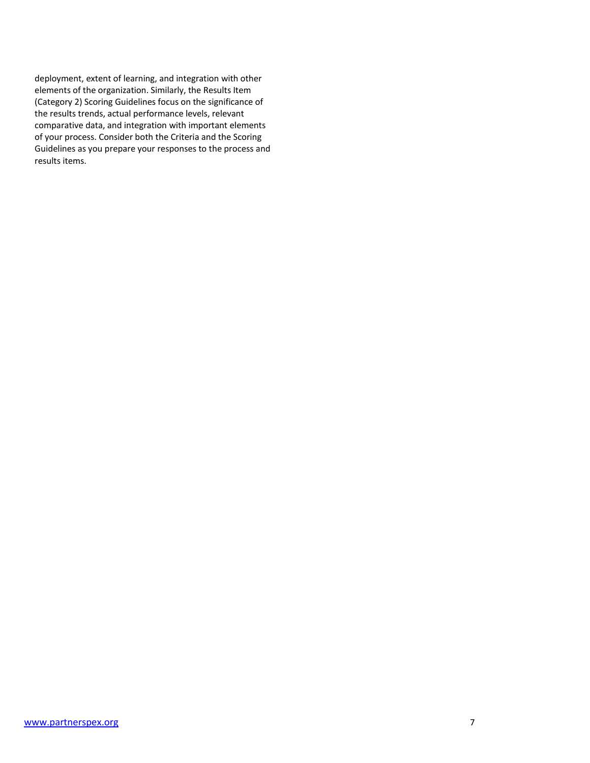deployment, extent of learning, and integration with other elements of the organization. Similarly, the Results Item (Category 2) Scoring Guidelines focus on the significance of the results trends, actual performance levels, relevant comparative data, and integration with important elements of your process. Consider both the Criteria and the Scoring Guidelines as you prepare your responses to the process and results items.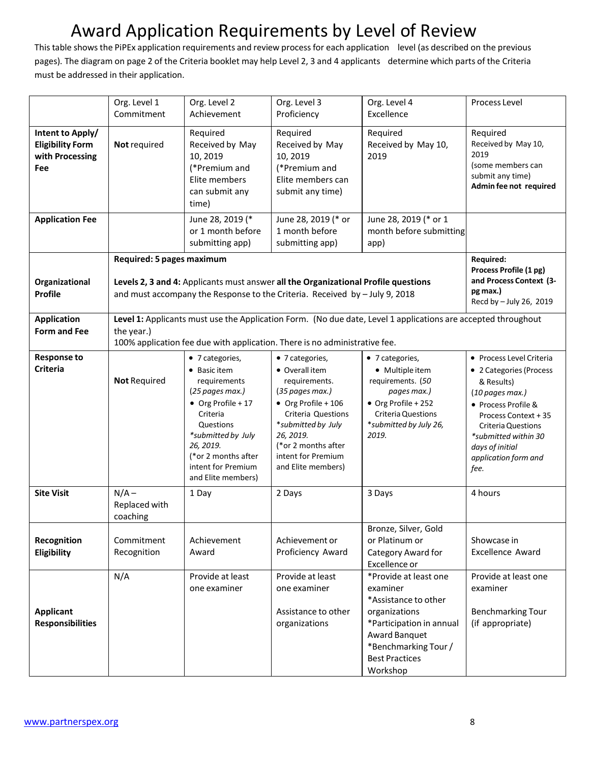# Award Application Requirements by Level of Review

Thistable showsthe PiPEx application requirements and review processfor each application level (as described on the previous pages). The diagram on page 2 of the Criteria booklet may help Level 2, 3 and 4 applicants determine which parts of the Criteria must be addressed in their application.

|                                                                       | Org. Level 1<br>Commitment                                                                                                                                                                                | Org. Level 2<br>Achievement                                                                                                                                                                                             | Org. Level 3<br>Proficiency                                                                                                                                                                                              | Org. Level 4<br>Excellence                                                                                                                                                           | Process Level                                                                                                                                                                                                                               |
|-----------------------------------------------------------------------|-----------------------------------------------------------------------------------------------------------------------------------------------------------------------------------------------------------|-------------------------------------------------------------------------------------------------------------------------------------------------------------------------------------------------------------------------|--------------------------------------------------------------------------------------------------------------------------------------------------------------------------------------------------------------------------|--------------------------------------------------------------------------------------------------------------------------------------------------------------------------------------|---------------------------------------------------------------------------------------------------------------------------------------------------------------------------------------------------------------------------------------------|
| Intent to Apply/<br><b>Eligibility Form</b><br>with Processing<br>Fee | Not required                                                                                                                                                                                              | Required<br>Received by May<br>10, 2019<br>(*Premium and<br>Elite members<br>can submit any<br>time)                                                                                                                    | Required<br>Received by May<br>10, 2019<br>(*Premium and<br>Elite members can<br>submit any time)                                                                                                                        | Required<br>Received by May 10,<br>2019                                                                                                                                              | Required<br>Received by May 10,<br>2019<br>(some members can<br>submit any time)<br>Admin fee not required                                                                                                                                  |
| <b>Application Fee</b>                                                |                                                                                                                                                                                                           | June 28, 2019 (*<br>or 1 month before<br>submitting app)                                                                                                                                                                | June 28, 2019 (* or<br>1 month before<br>submitting app)                                                                                                                                                                 | June 28, 2019 (* or 1<br>month before submitting<br>app)                                                                                                                             |                                                                                                                                                                                                                                             |
| Organizational<br><b>Profile</b>                                      | Required: 5 pages maximum<br>Levels 2, 3 and 4: Applicants must answer all the Organizational Profile questions<br>and must accompany the Response to the Criteria. Received by - July 9, 2018            |                                                                                                                                                                                                                         |                                                                                                                                                                                                                          | <b>Required:</b><br>Process Profile (1 pg)<br>and Process Context (3-<br>pg max.)<br>Recd by - July 26, 2019                                                                         |                                                                                                                                                                                                                                             |
| <b>Application</b><br><b>Form and Fee</b>                             | Level 1: Applicants must use the Application Form. (No due date, Level 1 applications are accepted throughout<br>the year.)<br>100% application fee due with application. There is no administrative fee. |                                                                                                                                                                                                                         |                                                                                                                                                                                                                          |                                                                                                                                                                                      |                                                                                                                                                                                                                                             |
| <b>Response to</b><br><b>Criteria</b>                                 | <b>Not Required</b>                                                                                                                                                                                       | • 7 categories,<br>• Basic item<br>requirements<br>(25 pages max.)<br>• Org Profile + 17<br>Criteria<br>Questions<br>*submitted by July<br>26, 2019.<br>(*or 2 months after<br>intent for Premium<br>and Elite members) | • 7 categories,<br>• Overall item<br>requirements.<br>(35 pages max.)<br>• Org Profile + 106<br>Criteria Questions<br>*submitted by July<br>26, 2019.<br>(*or 2 months after<br>intent for Premium<br>and Elite members) | • 7 categories,<br>• Multiple item<br>requirements. (50<br>pages max.)<br>• Org Profile + 252<br><b>Criteria Questions</b><br>*submitted by July 26,<br>2019.                        | • Process Level Criteria<br>• 2 Categories (Process<br>& Results)<br>(10 pages max.)<br>• Process Profile &<br>Process Context + 35<br><b>Criteria Questions</b><br>*submitted within 30<br>days of initial<br>application form and<br>fee. |
| <b>Site Visit</b>                                                     | $N/A -$<br>Replaced with<br>coaching                                                                                                                                                                      | 1 Day                                                                                                                                                                                                                   | 2 Days                                                                                                                                                                                                                   | 3 Days                                                                                                                                                                               | 4 hours                                                                                                                                                                                                                                     |
| Recognition<br>Eligibility                                            | Commitment<br>Recognition                                                                                                                                                                                 | Achievement<br>Award                                                                                                                                                                                                    | Achievement or<br>Proficiency Award                                                                                                                                                                                      | Bronze, Silver, Gold<br>or Platinum or<br>Category Award for<br>Excellence or                                                                                                        | Showcase in<br><b>Excellence Award</b>                                                                                                                                                                                                      |
| <b>Applicant</b><br><b>Responsibilities</b>                           | N/A                                                                                                                                                                                                       | Provide at least<br>one examiner                                                                                                                                                                                        | Provide at least<br>one examiner<br>Assistance to other<br>organizations                                                                                                                                                 | *Provide at least one<br>examiner<br>*Assistance to other<br>organizations<br>*Participation in annual<br>Award Banquet<br>*Benchmarking Tour /<br><b>Best Practices</b><br>Workshop | Provide at least one<br>examiner<br><b>Benchmarking Tour</b><br>(if appropriate)                                                                                                                                                            |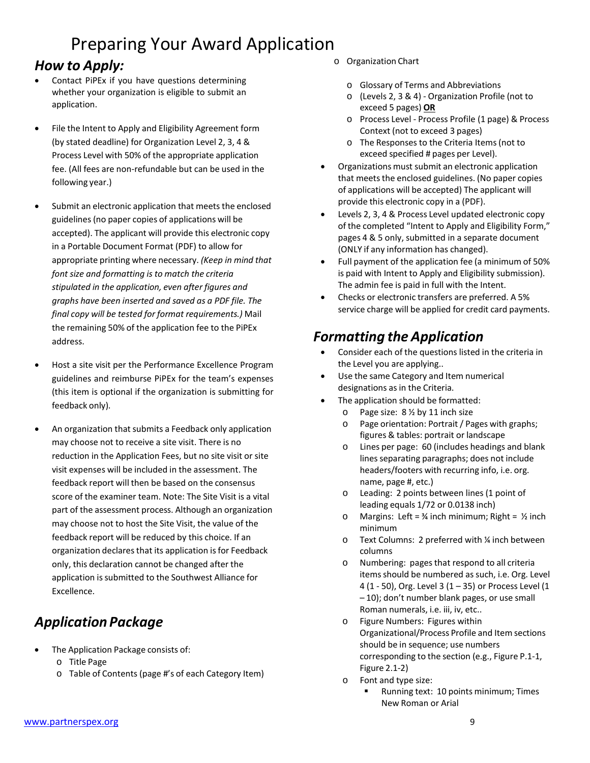## *How to Apply:*

- Contact PiPEx if you have questions determining whether your organization is eligible to submit an application.
- File the Intent to Apply and Eligibility Agreement form (by stated deadline) for Organization Level 2, 3, 4 & Process Level with 50% of the appropriate application fee. (All fees are non-refundable but can be used in the following year.)
- Submit an electronic application that meets the enclosed guidelines (no paper copies of applications will be accepted). The applicant will provide this electronic copy in a Portable Document Format (PDF) to allow for appropriate printing where necessary. *(Keep in mind that font size and formatting is to match the criteria stipulated in the application, even after figures and graphs have been inserted and saved as a PDF file. The final copy will be tested for format requirements.)* Mail the remaining 50% of the application fee to the PiPEx address.
- Host a site visit per the Performance Excellence Program guidelines and reimburse PiPEx for the team's expenses (this item is optional if the organization is submitting for feedback only).
- An organization that submits a Feedback only application may choose not to receive a site visit. There is no reduction in the Application Fees, but no site visit or site visit expenses will be included in the assessment. The feedback report will then be based on the consensus score of the examiner team. Note: The Site Visit is a vital part of the assessment process. Although an organization may choose not to host the Site Visit, the value of the feedback report will be reduced by this choice. If an organization declares that its application is for Feedback only, this declaration cannot be changed after the application is submitted to the Southwest Alliance for Excellence.

## *Application Package*

- The Application Package consists of:
	- o Title Page
	- o Table of Contents (page #'s of each Category Item)
- o Organization Chart
	- o Glossary of Terms and Abbreviations
	- o (Levels 2, 3 & 4) Organization Profile (not to exceed 5 pages) **OR**
	- o Process Level Process Profile (1 page) & Process Context (not to exceed 3 pages)
	- o The Responses to the Criteria Items(not to exceed specified # pages per Level).
- Organizations must submit an electronic application that meets the enclosed guidelines. (No paper copies of applications will be accepted) The applicant will provide this electronic copy in a (PDF).
- Levels 2, 3, 4 & Process Level updated electronic copy of the completed "Intent to Apply and Eligibility Form," pages 4 & 5 only, submitted in a separate document (ONLY if any information has changed).
- Full payment of the application fee (a minimum of 50% is paid with Intent to Apply and Eligibility submission). The admin fee is paid in full with the Intent.
- Checks or electronic transfers are preferred. A 5% service charge will be applied for credit card payments.

# *Formatting the Application*

- Consider each of the questions listed in the criteria in the Level you are applying..
- Use the same Category and Item numerical designations as in the Criteria.
- The application should be formatted:
	- o Page size: 8 ½ by 11 inch size
	- o Page orientation: Portrait / Pages with graphs; figures & tables: portrait or landscape
	- o Lines per page: 60 (includes headings and blank lines separating paragraphs; does not include headers/footers with recurring info, i.e. org. name, page #, etc.)
	- o Leading: 2 points between lines (1 point of leading equals 1/72 or 0.0138 inch)
	- o Margins: Left =  $\frac{3}{4}$  inch minimum; Right =  $\frac{1}{2}$  inch minimum
	- o Text Columns: 2 preferred with ¼ inch between columns
	- o Numbering: pagesthat respond to all criteria items should be numbered as such, i.e. Org. Level 4 (1 - 50), Org. Level 3 (1 - 35) or Process Level (1 – 10); don't number blank pages, or use small Roman numerals, i.e. iii, iv, etc..
	- o Figure Numbers: Figures within Organizational/Process Profile and Item sections should be in sequence; use numbers corresponding to the section (e.g., Figure P.1-1, Figure 2.1-2)
	- o Font and type size:
		- Running text: 10 points minimum; Times New Roman or Arial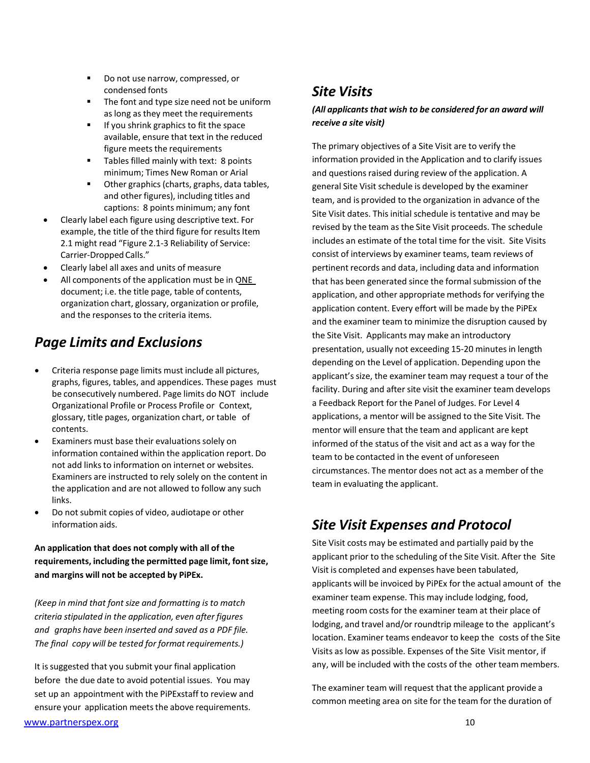- Do not use narrow, compressed, or condensed fonts
- The font and type size need not be uniform as long as they meet the requirements
- **If you shrink graphics to fit the space** available, ensure that text in the reduced figure meets the requirements
- Tables filled mainly with text: 8 points minimum; Times New Roman or Arial
- Other graphics(charts, graphs, data tables, and other figures), including titles and captions: 8 points minimum; any font
- Clearly label each figure using descriptive text. For example, the title of the third figure for results Item 2.1 might read "Figure 2.1-3 Reliability of Service: Carrier-Dropped Calls."
- Clearly label all axes and units of measure
- All components of the application must be in ONE document; i.e. the title page, table of contents, organization chart, glossary, organization or profile, and the responses to the criteria items.

### *Page Limits and Exclusions*

- Criteria response page limits must include all pictures, graphs, figures, tables, and appendices. These pages must be consecutively numbered. Page limits do NOT include Organizational Profile or Process Profile or Context, glossary, title pages, organization chart, or table of contents.
- Examiners must base their evaluations solely on information contained within the application report. Do not add links to information on internet or websites. Examiners are instructed to rely solely on the content in the application and are not allowed to follow any such links.
- Do not submit copies of video, audiotape or other information aids.

**An application that does not comply with all of the requirements, including the permitted page limit, fontsize, and margins will not be accepted by PiPEx.**

*(Keep in mind that font size and formatting is to match criteria stipulated in the application, even after figures and graphs have been inserted and saved as a PDF file. The final copy will be tested for format requirements.)*

It is suggested that you submit your final application before the due date to avoid potential issues. You may set up an appointment with the PiPExstaff to review and ensure your application meets the above requirements.

## *Site Visits*

#### *(All applicants that wish to be considered for an award will receive a site visit)*

The primary objectives of a Site Visit are to verify the information provided in the Application and to clarify issues and questions raised during review of the application. A general Site Visit schedule is developed by the examiner team, and is provided to the organization in advance of the Site Visit dates. This initial schedule is tentative and may be revised by the team as the Site Visit proceeds. The schedule includes an estimate of the total time for the visit. Site Visits consist of interviews by examiner teams, team reviews of pertinent records and data, including data and information that has been generated since the formal submission of the application, and other appropriate methods for verifying the application content. Every effort will be made by the PiPEx and the examiner team to minimize the disruption caused by the Site Visit. Applicants may make an introductory presentation, usually not exceeding 15-20 minutes in length depending on the Level of application. Depending upon the applicant's size, the examiner team may request a tour of the facility. During and after site visit the examiner team develops a Feedback Report for the Panel of Judges. For Level 4 applications, a mentor will be assigned to the Site Visit. The mentor will ensure that the team and applicant are kept informed of the status of the visit and act as a way for the team to be contacted in the event of unforeseen circumstances. The mentor does not act as a member of the team in evaluating the applicant.

### *Site Visit Expenses and Protocol*

Site Visit costs may be estimated and partially paid by the applicant prior to the scheduling of the Site Visit. After the Site Visit is completed and expenses have been tabulated, applicants will be invoiced by PiPEx for the actual amount of the examiner team expense. This may include lodging, food, meeting room costs for the examiner team at their place of lodging, and travel and/or roundtrip mileage to the applicant's location. Examiner teams endeavor to keep the costs of the Site Visits as low as possible. Expenses of the Site Visit mentor, if any, will be included with the costs of the other team members.

The examiner team will request that the applicant provide a common meeting area on site for the team for the duration of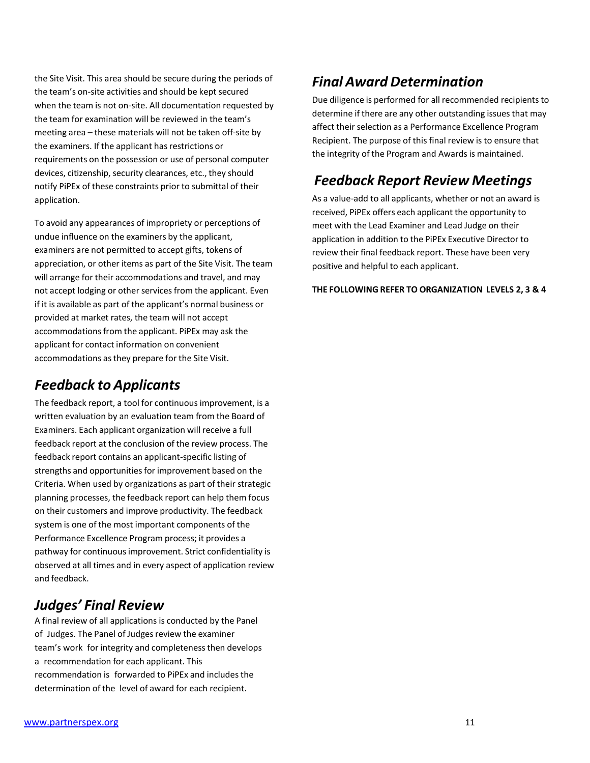the Site Visit. This area should be secure during the periods of the team's on-site activities and should be kept secured when the team is not on-site. All documentation requested by the team for examination will be reviewed in the team's meeting area – these materials will not be taken off-site by the examiners. If the applicant has restrictions or requirements on the possession or use of personal computer devices, citizenship, security clearances, etc., they should notify PiPEx of these constraints prior to submittal of their application.

To avoid any appearances of impropriety or perceptions of undue influence on the examiners by the applicant, examiners are not permitted to accept gifts, tokens of appreciation, or other items as part of the Site Visit. The team will arrange for their accommodations and travel, and may not accept lodging or other services from the applicant. Even if it is available as part of the applicant's normal business or provided at market rates, the team will not accept accommodations from the applicant. PiPEx may ask the applicant for contact information on convenient accommodations asthey prepare for the Site Visit.

### *Feedback to Applicants*

The feedback report, a tool for continuous improvement, is a written evaluation by an evaluation team from the Board of Examiners. Each applicant organization will receive a full feedback report at the conclusion of the review process. The feedback report contains an applicant-specific listing of strengths and opportunities for improvement based on the Criteria. When used by organizations as part of their strategic planning processes, the feedback report can help them focus on their customers and improve productivity. The feedback system is one of the most important components of the Performance Excellence Program process; it provides a pathway for continuousimprovement. Strict confidentiality is observed at all times and in every aspect of application review and feedback.

### *Judges' Final Review*

A final review of all applications is conducted by the Panel of Judges. The Panel of Judges review the examiner team's work for integrity and completenessthen develops a recommendation for each applicant. This recommendation is forwarded to PiPEx and includesthe determination of the level of award for each recipient.

## *Final Award Determination*

Due diligence is performed for all recommended recipients to determine if there are any other outstanding issues that may affect their selection as a Performance Excellence Program Recipient. The purpose of this final review is to ensure that the integrity of the Program and Awards is maintained.

### *Feedback Report Review Meetings*

As a value-add to all applicants, whether or not an award is received, PiPEx offers each applicant the opportunity to meet with the Lead Examiner and Lead Judge on their application in addition to the PiPEx Executive Director to review their final feedback report. These have been very positive and helpful to each applicant.

**THE FOLLOWING REFER TO ORGANIZATION LEVELS 2, 3 & 4**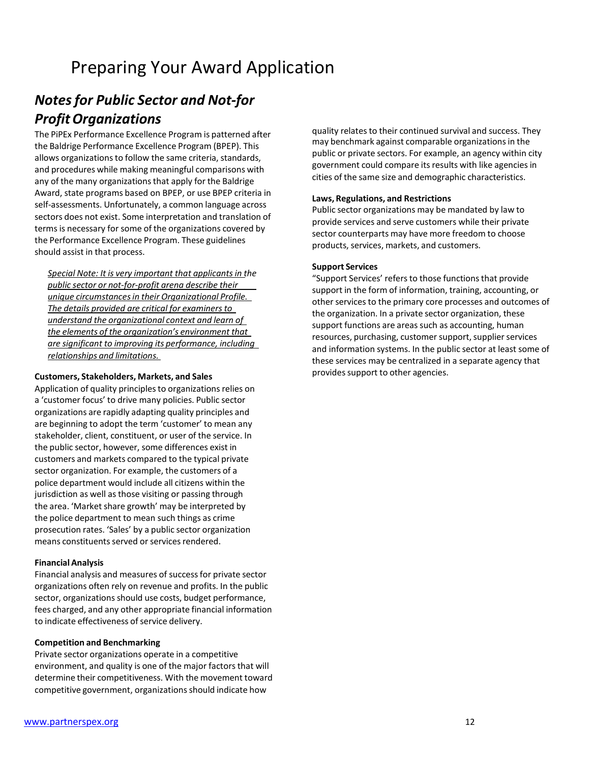# *Notesfor Public Sector and Not-for ProfitOrganizations*

The PiPEx Performance Excellence Program is patterned after the Baldrige Performance Excellence Program (BPEP). This allows organizations to follow the same criteria, standards, and procedures while making meaningful comparisons with any of the many organizations that apply for the Baldrige Award, state programs based on BPEP, or use BPEP criteria in self-assessments. Unfortunately, a common language across sectors does not exist. Some interpretation and translation of terms is necessary for some of the organizations covered by the Performance Excellence Program. These guidelines should assist in that process.

*Special Note: It is very important that applicantsin the public sector or not-for-profit arena describe their unique circumstancesin their Organizational Profile. The details provided are critical for examinersto understand the organizational context and learn of the elements of the organization's environment that are significant to improving its performance, including relationships and limitations.*

#### **Customers, Stakeholders, Markets, and Sales**

Application of quality principles to organizations relies on a 'customer focus' to drive many policies. Public sector organizations are rapidly adapting quality principles and are beginning to adopt the term 'customer' to mean any stakeholder, client, constituent, or user of the service. In the public sector, however, some differences exist in customers and markets compared to the typical private sector organization. For example, the customers of a police department would include all citizens within the jurisdiction as well as those visiting or passing through the area. 'Market share growth' may be interpreted by the police department to mean such things as crime prosecution rates. 'Sales' by a public sector organization means constituents served or services rendered.

#### **Financial Analysis**

Financial analysis and measures of successfor private sector organizations often rely on revenue and profits. In the public sector, organizations should use costs, budget performance, fees charged, and any other appropriate financial information to indicate effectiveness of service delivery.

#### **Competition and Benchmarking**

Private sector organizations operate in a competitive environment, and quality is one of the major factors that will determine their competitiveness. With the movement toward competitive government, organizations should indicate how

quality relates to their continued survival and success. They may benchmark against comparable organizations in the public or private sectors. For example, an agency within city government could compare its results with like agencies in cities of the same size and demographic characteristics.

#### **Laws, Regulations, and Restrictions**

Public sector organizations may be mandated by law to provide services and serve customers while their private sector counterparts may have more freedom to choose products, services, markets, and customers.

#### **Support Services**

"Support Services' refers to those functions that provide support in the form of information, training, accounting, or other services to the primary core processes and outcomes of the organization. In a private sector organization, these support functions are areas such as accounting, human resources, purchasing, customer support, supplier services and information systems. In the public sector at least some of these services may be centralized in a separate agency that provides support to other agencies.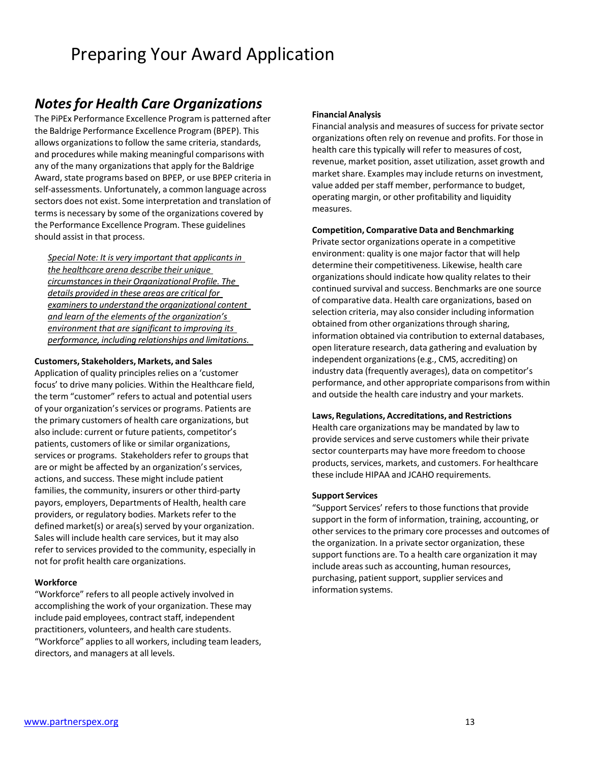### *Notesfor Health Care Organizations*

The PiPEx Performance Excellence Program is patterned after the Baldrige Performance Excellence Program (BPEP). This allows organizations to follow the same criteria, standards, and procedures while making meaningful comparisons with any of the many organizations that apply for the Baldrige Award, state programs based on BPEP, or use BPEP criteria in self-assessments. Unfortunately, a common language across sectors does not exist. Some interpretation and translation of termsis necessary by some of the organizations covered by the Performance Excellence Program. These guidelines should assist in that process.

*Special Note: It is very important that applicantsin the healthcare arena describe their unique circumstancesin their Organizational Profile. The details provided in these areas are critical for examinersto understand the organizational content and learn of the elements of the organization's environment that are significant to improving its performance, including relationships and limitations.*

#### **Customers, Stakeholders, Markets, and Sales**

Application of quality principles relies on a 'customer focus' to drive many policies. Within the Healthcare field, the term "customer" refers to actual and potential users of your organization'sservices or programs. Patients are the primary customers of health care organizations, but also include: current or future patients, competitor's patients, customers of like or similar organizations, services or programs. Stakeholders refer to groups that are or might be affected by an organization's services, actions, and success. These might include patient families, the community, insurers or other third-party payors, employers, Departments of Health, health care providers, or regulatory bodies. Markets refer to the defined market(s) or area(s) served by your organization. Sales will include health care services, but it may also refer to services provided to the community, especially in not for profit health care organizations.

#### **Workforce**

"Workforce" refersto all people actively involved in accomplishing the work of your organization. These may include paid employees, contract staff, independent practitioners, volunteers, and health care students. "Workforce" applies to all workers, including team leaders, directors, and managers at all levels.

#### **Financial Analysis**

Financial analysis and measures of successfor private sector organizations often rely on revenue and profits. For those in health care this typically will refer to measures of cost, revenue, market position, asset utilization, asset growth and market share. Examples may include returns on investment, value added per staff member, performance to budget, operating margin, or other profitability and liquidity measures.

#### **Competition, Comparative Data and Benchmarking**

Private sector organizations operate in a competitive environment: quality is one major factor that will help determine their competitiveness. Likewise, health care organizations should indicate how quality relates to their continued survival and success. Benchmarks are one source of comparative data. Health care organizations, based on selection criteria, may also consider including information obtained from other organizationsthrough sharing, information obtained via contribution to external databases, open literature research, data gathering and evaluation by independent organizations(e.g., CMS, accrediting) on industry data (frequently averages), data on competitor's performance, and other appropriate comparisonsfrom within and outside the health care industry and your markets.

#### **Laws, Regulations, Accreditations, and Restrictions**

Health care organizations may be mandated by law to provide services and serve customers while their private sector counterparts may have more freedom to choose products, services, markets, and customers. For healthcare these include HIPAA and JCAHO requirements.

#### **Support Services**

"Support Services' refers to those functions that provide support in the form of information, training, accounting, or other services to the primary core processes and outcomes of the organization. In a private sector organization, these support functions are. To a health care organization it may include areas such as accounting, human resources, purchasing, patient support, supplier services and information systems.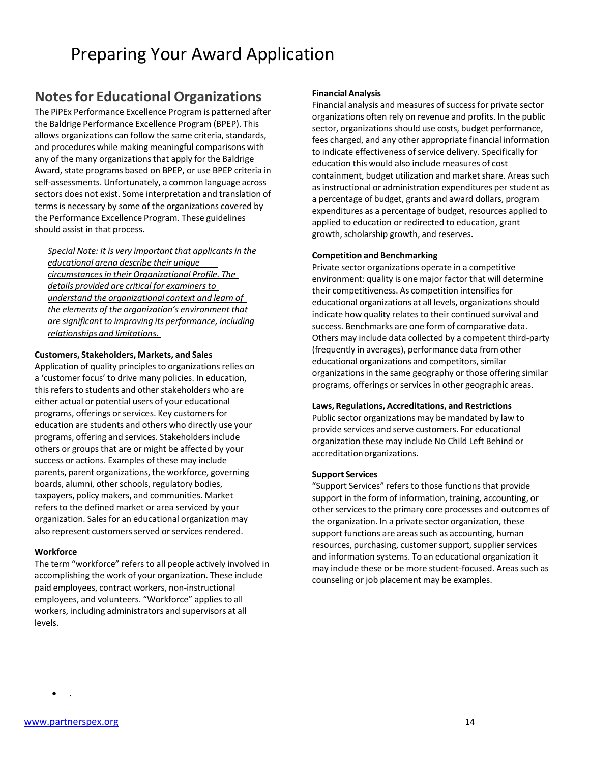#### **Notesfor Educational Organizations**

The PiPEx Performance Excellence Program is patterned after the Baldrige Performance Excellence Program (BPEP). This allows organizations can follow the same criteria, standards, and procedures while making meaningful comparisons with any of the many organizations that apply for the Baldrige Award, state programs based on BPEP, or use BPEP criteria in self-assessments. Unfortunately, a common language across sectors does not exist. Some interpretation and translation of terms is necessary by some of the organizations covered by the Performance Excellence Program. These guidelines should assist in that process.

*Special Note: It is very important that applicantsin the educational arena describe their unique circumstancesin their Organizational Profile. The details provided are critical for examinersto understand the organizational context and learn of the elements of the organization's environment that are significant to improving its performance, including relationships and limitations.*

#### **Customers, Stakeholders, Markets, and Sales**

Application of quality principles to organizations relies on a 'customer focus' to drive many policies. In education, this refers to students and other stakeholders who are either actual or potential users of your educational programs, offerings or services. Key customers for education are students and others who directly use your programs, offering and services. Stakeholdersinclude others or groups that are or might be affected by your success or actions. Examples of these may include parents, parent organizations, the workforce, governing boards, alumni, other schools, regulatory bodies, taxpayers, policy makers, and communities. Market refers to the defined market or area serviced by your organization. Sales for an educational organization may also represent customers served or services rendered.

#### **Workforce**

The term "workforce" refers to all people actively involved in accomplishing the work of your organization. These include paid employees, contract workers, non-instructional employees, and volunteers. "Workforce" applies to all workers, including administrators and supervisors at all levels.

#### **Financial Analysis**

Financial analysis and measures of success for private sector organizations often rely on revenue and profits. In the public sector, organizations should use costs, budget performance, fees charged, and any other appropriate financial information to indicate effectiveness of service delivery. Specifically for education this would also include measures of cost containment, budget utilization and market share. Areas such as instructional or administration expenditures per student as a percentage of budget, grants and award dollars, program expenditures as a percentage of budget, resources applied to applied to education or redirected to education, grant growth, scholarship growth, and reserves.

#### **Competition and Benchmarking**

Private sector organizations operate in a competitive environment: quality is one major factor that will determine their competitiveness. As competition intensifies for educational organizations at all levels, organizations should indicate how quality relates to their continued survival and success. Benchmarks are one form of comparative data. Others may include data collected by a competent third-party (frequently in averages), performance data from other educational organizations and competitors, similar organizations in the same geography or those offering similar programs, offerings or services in other geographic areas.

#### **Laws, Regulations, Accreditations, and Restrictions**

Public sector organizations may be mandated by law to provide services and serve customers. For educational organization these may include No Child Left Behind or accreditationorganizations.

#### **Support Services**

"Support Services" refersto those functionsthat provide support in the form of information, training, accounting, or other services to the primary core processes and outcomes of the organization. In a private sector organization, these support functions are areas such as accounting, human resources, purchasing, customer support, supplier services and information systems. To an educational organization it may include these or be more student-focused. Areas such as counseling or job placement may be examples.

• .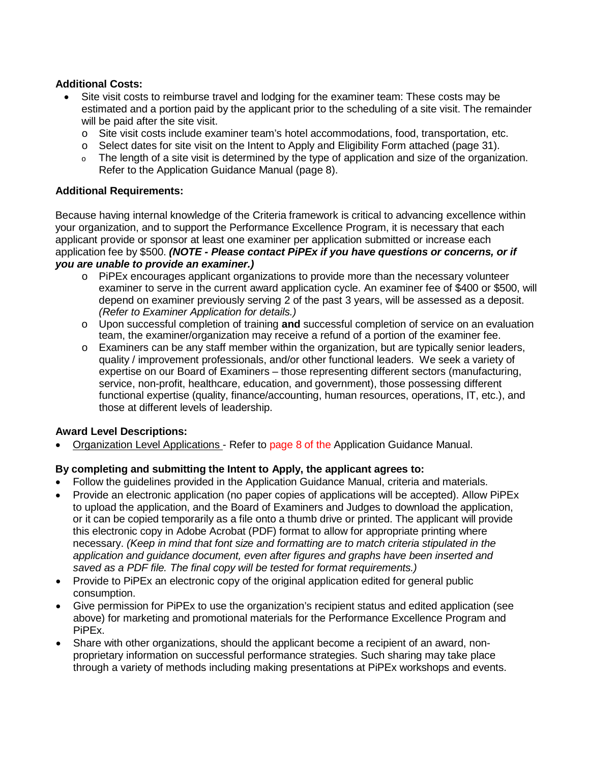#### **Additional Costs:**

- Site visit costs to reimburse travel and lodging for the examiner team: These costs may be estimated and a portion paid by the applicant prior to the scheduling of a site visit. The remainder will be paid after the site visit.
	- o Site visit costs include examiner team's hotel accommodations, food, transportation, etc.
	- $\circ$  Select dates for site visit on the Intent to Apply and Eligibility Form attached (page 31).
	- <sup>o</sup> The length of a site visit is determined by the type of application and size of the organization. Refer to the Application Guidance Manual (page 8).

#### **Additional Requirements:**

Because having internal knowledge of the Criteria framework is critical to advancing excellence within your organization, and to support the Performance Excellence Program, it is necessary that each applicant provide or sponsor at least one examiner per application submitted or increase each application fee by \$500. *(NOTE - Please contact PiPEx if you have questions or concerns, or if you are unable to provide an examiner.)*

- $\circ$  PiPEx encourages applicant organizations to provide more than the necessary volunteer examiner to serve in the current award application cycle. An examiner fee of \$400 or \$500, will depend on examiner previously serving 2 of the past 3 years, will be assessed as a deposit. *(Refer to Examiner Application for details.)*
- o Upon successful completion of training **and** successful completion of service on an evaluation team, the examiner/organization may receive a refund of a portion of the examiner fee.
- $\circ$  Examiners can be any staff member within the organization, but are typically senior leaders, quality / improvement professionals, and/or other functional leaders. We seek a variety of expertise on our Board of Examiners – those representing different sectors (manufacturing, service, non-profit, healthcare, education, and government), those possessing different functional expertise (quality, finance/accounting, human resources, operations, IT, etc.), and those at different levels of leadership.

#### **Award Level Descriptions:**

• Organization Level Applications - Refer to page 8 of the Application Guidance Manual.

#### **By completing and submitting the Intent to Apply, the applicant agrees to:**

- Follow the guidelines provided in the Application Guidance Manual, criteria and materials.
- Provide an electronic application (no paper copies of applications will be accepted). Allow PiPEx to upload the application, and the Board of Examiners and Judges to download the application, or it can be copied temporarily as a file onto a thumb drive or printed. The applicant will provide this electronic copy in Adobe Acrobat (PDF) format to allow for appropriate printing where necessary. *(Keep in mind that font size and formatting are to match criteria stipulated in the application and guidance document, even after figures and graphs have been inserted and saved as a PDF file. The final copy will be tested for format requirements.)*
- Provide to PiPEx an electronic copy of the original application edited for general public consumption.
- Give permission for PiPEx to use the organization's recipient status and edited application (see above) for marketing and promotional materials for the Performance Excellence Program and PiPEx.
- Share with other organizations, should the applicant become a recipient of an award, nonproprietary information on successful performance strategies. Such sharing may take place through a variety of methods including making presentations at PiPEx workshops and events.